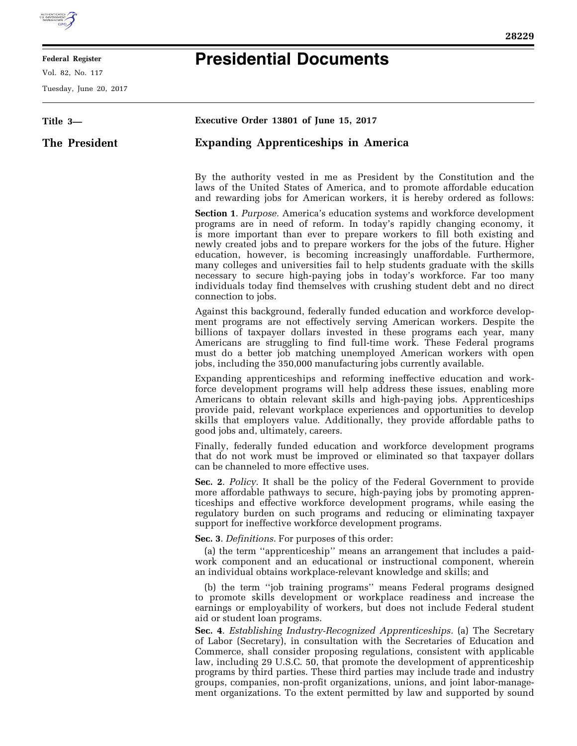

E

## **Federal Register**

Vol. 82, No. 117

Tuesday, June 20, 2017

 $\equiv$ 

## **Presidential Documents**

| Title 3-      | Executive Order 13801 of June 15, 2017                                                                                                                                                                                                                                                                                                                                                                                                                                                                                                                                                                                                                              |
|---------------|---------------------------------------------------------------------------------------------------------------------------------------------------------------------------------------------------------------------------------------------------------------------------------------------------------------------------------------------------------------------------------------------------------------------------------------------------------------------------------------------------------------------------------------------------------------------------------------------------------------------------------------------------------------------|
| The President | <b>Expanding Apprenticeships in America</b>                                                                                                                                                                                                                                                                                                                                                                                                                                                                                                                                                                                                                         |
|               | By the authority vested in me as President by the Constitution and the<br>laws of the United States of America, and to promote affordable education<br>and rewarding jobs for American workers, it is hereby ordered as follows:                                                                                                                                                                                                                                                                                                                                                                                                                                    |
|               | <b>Section 1. Purpose.</b> America's education systems and workforce development<br>programs are in need of reform. In today's rapidly changing economy, it<br>is more important than ever to prepare workers to fill both existing and<br>newly created jobs and to prepare workers for the jobs of the future. Higher<br>education, however, is becoming increasingly unaffordable. Furthermore,<br>many colleges and universities fail to help students graduate with the skills<br>necessary to secure high-paying jobs in today's workforce. Far too many<br>individuals today find themselves with crushing student debt and no direct<br>connection to jobs. |
|               | Against this background, federally funded education and workforce develop-<br>ment programs are not effectively serving American workers. Despite the<br>billions of taxpayer dollars invested in these programs each year, many<br>Americans are struggling to find full-time work. These Federal programs<br>must do a better job matching unemployed American workers with open<br>jobs, including the 350,000 manufacturing jobs currently available.                                                                                                                                                                                                           |
|               | Expanding apprenticeships and reforming ineffective education and work-<br>force development programs will help address these issues, enabling more<br>Americans to obtain relevant skills and high-paying jobs. Apprenticeships<br>provide paid, relevant workplace experiences and opportunities to develop<br>skills that employers value. Additionally, they provide affordable paths to<br>good jobs and, ultimately, careers.                                                                                                                                                                                                                                 |
|               | Finally, federally funded education and workforce development programs<br>that do not work must be improved or eliminated so that taxpayer dollars<br>can be channeled to more effective uses.                                                                                                                                                                                                                                                                                                                                                                                                                                                                      |
|               | Sec. 2. Policy. It shall be the policy of the Federal Government to provide<br>more affordable pathways to secure, high-paying jobs by promoting appren-<br>ticeships and effective workforce development programs, while easing the<br>regulatory burden on such programs and reducing or eliminating taxpayer<br>support for ineffective workforce development programs.                                                                                                                                                                                                                                                                                          |
|               | Sec. 3. Definitions. For purposes of this order:                                                                                                                                                                                                                                                                                                                                                                                                                                                                                                                                                                                                                    |
|               | (a) the term "apprenticeship" means an arrangement that includes a paid-<br>work component and an educational or instructional component, wherein<br>an individual obtains workplace-relevant knowledge and skills; and                                                                                                                                                                                                                                                                                                                                                                                                                                             |
|               | (b) the term "job training programs" means Federal programs designed<br>to promote skills development or workplace readiness and increase the<br>earnings or employability of workers, but does not include Federal student<br>aid or student loan programs.                                                                                                                                                                                                                                                                                                                                                                                                        |
|               | Sec. 4. Establishing Industry-Recognized Apprenticeships. (a) The Secretary<br>of Labor (Secretary), in consultation with the Secretaries of Education and<br>Commerce, shall consider proposing regulations, consistent with applicable<br>law, including 29 U.S.C. 50, that promote the development of apprenticeship<br>programs by third parties. These third parties may include trade and industry<br>groups, companies, non-profit organizations, unions, and joint labor-manage-<br>ment organizations. To the extent permitted by law and supported by sound                                                                                               |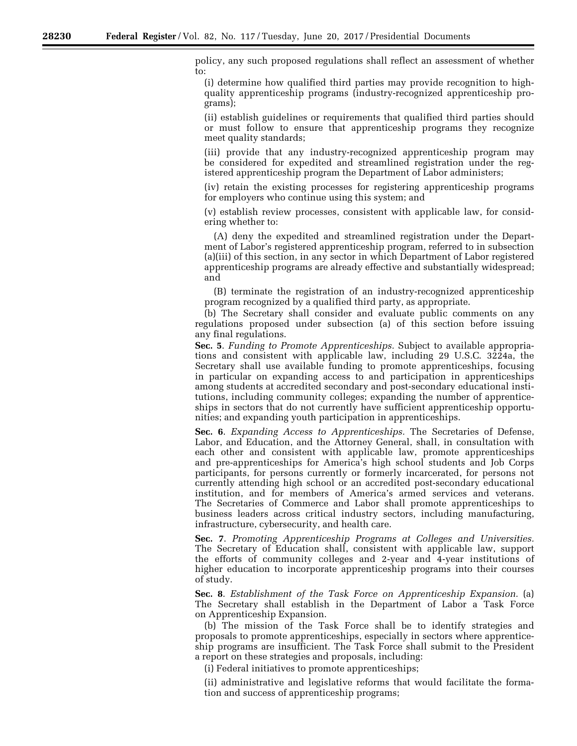policy, any such proposed regulations shall reflect an assessment of whether to:

(i) determine how qualified third parties may provide recognition to highquality apprenticeship programs (industry-recognized apprenticeship programs);

(ii) establish guidelines or requirements that qualified third parties should or must follow to ensure that apprenticeship programs they recognize meet quality standards;

(iii) provide that any industry-recognized apprenticeship program may be considered for expedited and streamlined registration under the registered apprenticeship program the Department of Labor administers;

(iv) retain the existing processes for registering apprenticeship programs for employers who continue using this system; and

(v) establish review processes, consistent with applicable law, for considering whether to:

(A) deny the expedited and streamlined registration under the Department of Labor's registered apprenticeship program, referred to in subsection (a)(iii) of this section, in any sector in which Department of Labor registered apprenticeship programs are already effective and substantially widespread; and

(B) terminate the registration of an industry-recognized apprenticeship program recognized by a qualified third party, as appropriate.

(b) The Secretary shall consider and evaluate public comments on any regulations proposed under subsection (a) of this section before issuing any final regulations.

**Sec. 5**. *Funding to Promote Apprenticeships.* Subject to available appropriations and consistent with applicable law, including 29 U.S.C. 3224a, the Secretary shall use available funding to promote apprenticeships, focusing in particular on expanding access to and participation in apprenticeships among students at accredited secondary and post-secondary educational institutions, including community colleges; expanding the number of apprenticeships in sectors that do not currently have sufficient apprenticeship opportunities; and expanding youth participation in apprenticeships.

**Sec. 6**. *Expanding Access to Apprenticeships.* The Secretaries of Defense, Labor, and Education, and the Attorney General, shall, in consultation with each other and consistent with applicable law, promote apprenticeships and pre-apprenticeships for America's high school students and Job Corps participants, for persons currently or formerly incarcerated, for persons not currently attending high school or an accredited post-secondary educational institution, and for members of America's armed services and veterans. The Secretaries of Commerce and Labor shall promote apprenticeships to business leaders across critical industry sectors, including manufacturing, infrastructure, cybersecurity, and health care.

**Sec. 7**. *Promoting Apprenticeship Programs at Colleges and Universities.*  The Secretary of Education shall, consistent with applicable law, support the efforts of community colleges and 2-year and 4-year institutions of higher education to incorporate apprenticeship programs into their courses of study.

**Sec. 8**. *Establishment of the Task Force on Apprenticeship Expansion.* (a) The Secretary shall establish in the Department of Labor a Task Force on Apprenticeship Expansion.

(b) The mission of the Task Force shall be to identify strategies and proposals to promote apprenticeships, especially in sectors where apprenticeship programs are insufficient. The Task Force shall submit to the President a report on these strategies and proposals, including:

(i) Federal initiatives to promote apprenticeships;

(ii) administrative and legislative reforms that would facilitate the formation and success of apprenticeship programs;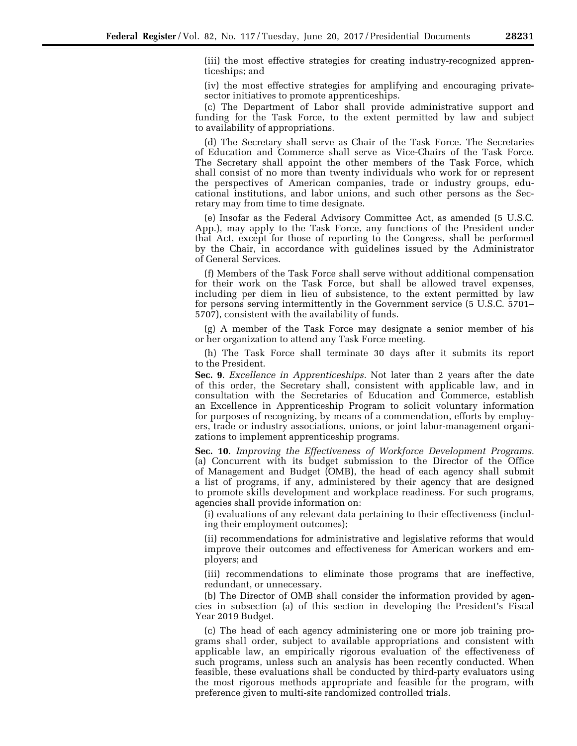(iii) the most effective strategies for creating industry-recognized apprenticeships; and

(iv) the most effective strategies for amplifying and encouraging privatesector initiatives to promote apprenticeships.

(c) The Department of Labor shall provide administrative support and funding for the Task Force, to the extent permitted by law and subject to availability of appropriations.

(d) The Secretary shall serve as Chair of the Task Force. The Secretaries of Education and Commerce shall serve as Vice-Chairs of the Task Force. The Secretary shall appoint the other members of the Task Force, which shall consist of no more than twenty individuals who work for or represent the perspectives of American companies, trade or industry groups, educational institutions, and labor unions, and such other persons as the Secretary may from time to time designate.

(e) Insofar as the Federal Advisory Committee Act, as amended (5 U.S.C. App.), may apply to the Task Force, any functions of the President under that Act, except for those of reporting to the Congress, shall be performed by the Chair, in accordance with guidelines issued by the Administrator of General Services.

(f) Members of the Task Force shall serve without additional compensation for their work on the Task Force, but shall be allowed travel expenses, including per diem in lieu of subsistence, to the extent permitted by law for persons serving intermittently in the Government service (5 U.S.C. 5701– 5707), consistent with the availability of funds.

(g) A member of the Task Force may designate a senior member of his or her organization to attend any Task Force meeting.

(h) The Task Force shall terminate 30 days after it submits its report to the President.

**Sec. 9**. *Excellence in Apprenticeships.* Not later than 2 years after the date of this order, the Secretary shall, consistent with applicable law, and in consultation with the Secretaries of Education and Commerce, establish an Excellence in Apprenticeship Program to solicit voluntary information for purposes of recognizing, by means of a commendation, efforts by employers, trade or industry associations, unions, or joint labor-management organizations to implement apprenticeship programs.

**Sec. 10**. *Improving the Effectiveness of Workforce Development Programs.*  (a) Concurrent with its budget submission to the Director of the Office of Management and Budget (OMB), the head of each agency shall submit a list of programs, if any, administered by their agency that are designed to promote skills development and workplace readiness. For such programs, agencies shall provide information on:

(i) evaluations of any relevant data pertaining to their effectiveness (including their employment outcomes);

(ii) recommendations for administrative and legislative reforms that would improve their outcomes and effectiveness for American workers and employers; and

(iii) recommendations to eliminate those programs that are ineffective, redundant, or unnecessary.

(b) The Director of OMB shall consider the information provided by agencies in subsection (a) of this section in developing the President's Fiscal Year 2019 Budget.

(c) The head of each agency administering one or more job training programs shall order, subject to available appropriations and consistent with applicable law, an empirically rigorous evaluation of the effectiveness of such programs, unless such an analysis has been recently conducted. When feasible, these evaluations shall be conducted by third-party evaluators using the most rigorous methods appropriate and feasible for the program, with preference given to multi-site randomized controlled trials.